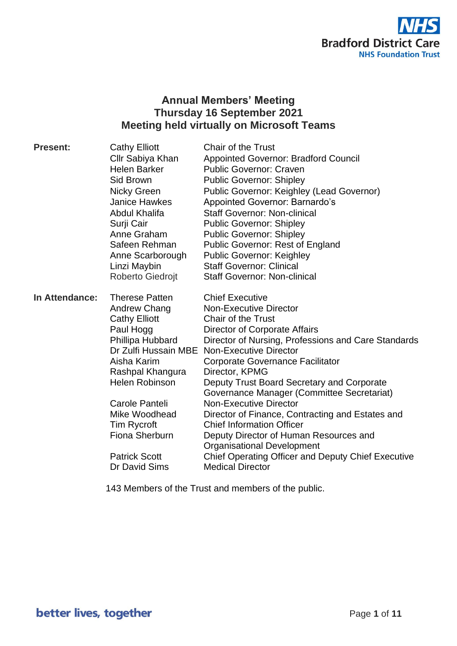

# **Annual Members' Meeting Thursday 16 September 2021 Meeting held virtually on Microsoft Teams**

| <b>Present:</b> | <b>Cathy Elliott</b>  | <b>Chair of the Trust</b>                                                   |
|-----------------|-----------------------|-----------------------------------------------------------------------------|
|                 | Cllr Sabiya Khan      | <b>Appointed Governor: Bradford Council</b>                                 |
|                 | <b>Helen Barker</b>   | <b>Public Governor: Craven</b>                                              |
|                 | Sid Brown             | <b>Public Governor: Shipley</b>                                             |
|                 | Nicky Green           | Public Governor: Keighley (Lead Governor)                                   |
|                 | <b>Janice Hawkes</b>  | <b>Appointed Governor: Barnardo's</b>                                       |
|                 | <b>Abdul Khalifa</b>  | <b>Staff Governor: Non-clinical</b>                                         |
|                 | Surji Cair            | <b>Public Governor: Shipley</b>                                             |
|                 | Anne Graham           | <b>Public Governor: Shipley</b>                                             |
|                 | Safeen Rehman         | <b>Public Governor: Rest of England</b>                                     |
|                 | Anne Scarborough      | <b>Public Governor: Keighley</b>                                            |
|                 | Linzi Maybin          | <b>Staff Governor: Clinical</b>                                             |
|                 | Roberto Giedrojt      | <b>Staff Governor: Non-clinical</b>                                         |
| In Attendance:  | <b>Therese Patten</b> | <b>Chief Executive</b>                                                      |
|                 | <b>Andrew Chang</b>   | <b>Non-Executive Director</b>                                               |
|                 | <b>Cathy Elliott</b>  | <b>Chair of the Trust</b>                                                   |
|                 | Paul Hogg             | Director of Corporate Affairs                                               |
|                 | Phillipa Hubbard      | Director of Nursing, Professions and Care Standards                         |
|                 |                       | Dr Zulfi Hussain MBE Non-Executive Director                                 |
|                 | Aisha Karim           | Corporate Governance Facilitator                                            |
|                 | Rashpal Khangura      | Director, KPMG                                                              |
|                 | <b>Helen Robinson</b> | Deputy Trust Board Secretary and Corporate                                  |
|                 |                       | Governance Manager (Committee Secretariat)                                  |
|                 | Carole Panteli        | <b>Non-Executive Director</b>                                               |
|                 | Mike Woodhead         | Director of Finance, Contracting and Estates and                            |
|                 | <b>Tim Rycroft</b>    | <b>Chief Information Officer</b>                                            |
|                 | Fiona Sherburn        | Deputy Director of Human Resources and<br><b>Organisational Development</b> |
|                 | <b>Patrick Scott</b>  | <b>Chief Operating Officer and Deputy Chief Executive</b>                   |
|                 | Dr David Sims         | <b>Medical Director</b>                                                     |
|                 |                       |                                                                             |

143 Members of the Trust and members of the public.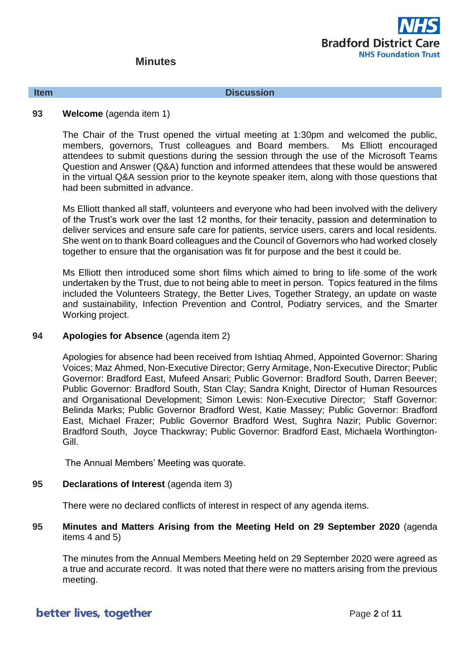**Minutes**



**Item Discussion**

# **93 Welcome** (agenda item 1)

The Chair of the Trust opened the virtual meeting at 1:30pm and welcomed the public, members, governors, Trust colleagues and Board members. Ms Elliott encouraged attendees to submit questions during the session through the use of the Microsoft Teams Question and Answer (Q&A) function and informed attendees that these would be answered in the virtual Q&A session prior to the keynote speaker item, along with those questions that had been submitted in advance.

Ms Elliott thanked all staff, volunteers and everyone who had been involved with the delivery of the Trust's work over the last 12 months, for their tenacity, passion and determination to deliver services and ensure safe care for patients, service users, carers and local residents. She went on to thank Board colleagues and the Council of Governors who had worked closely together to ensure that the organisation was fit for purpose and the best it could be.

Ms Elliott then introduced some short films which aimed to bring to life some of the work undertaken by the Trust, due to not being able to meet in person. Topics featured in the films included the Volunteers Strategy, the Better Lives, Together Strategy, an update on waste and sustainability, Infection Prevention and Control, Podiatry services, and the Smarter Working project.

## **94 Apologies for Absence** (agenda item 2)

Apologies for absence had been received from Ishtiaq Ahmed, Appointed Governor: Sharing Voices; Maz Ahmed, Non-Executive Director; Gerry Armitage, Non-Executive Director; Public Governor: Bradford East, Mufeed Ansari; Public Governor: Bradford South, Darren Beever; Public Governor: Bradford South, Stan Clay; Sandra Knight, Director of Human Resources and Organisational Development; Simon Lewis: Non-Executive Director; Staff Governor: Belinda Marks; Public Governor Bradford West, Katie Massey; Public Governor: Bradford East, Michael Frazer; Public Governor Bradford West, Sughra Nazir; Public Governor: Bradford South, Joyce Thackwray; Public Governor: Bradford East, Michaela Worthington-Gill.

The Annual Members' Meeting was quorate.

# **95 Declarations of Interest** (agenda item 3)

There were no declared conflicts of interest in respect of any agenda items.

# **95 Minutes and Matters Arising from the Meeting Held on 29 September 2020** (agenda items 4 and 5)

The minutes from the Annual Members Meeting held on 29 September 2020 were agreed as a true and accurate record. It was noted that there were no matters arising from the previous meeting.

# better lives, together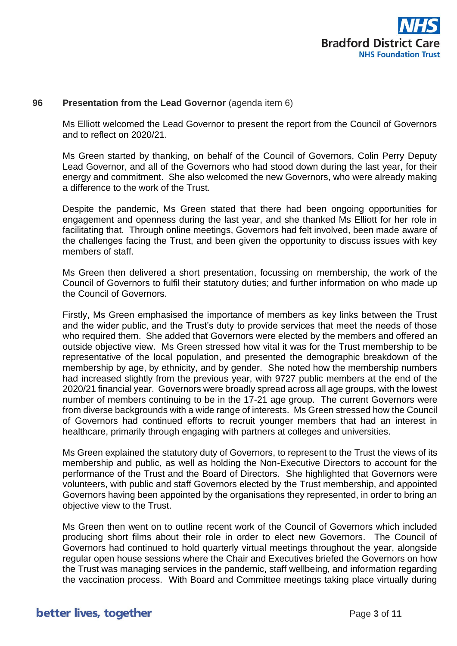

# **96 Presentation from the Lead Governor** (agenda item 6)

Ms Elliott welcomed the Lead Governor to present the report from the Council of Governors and to reflect on 2020/21.

Ms Green started by thanking, on behalf of the Council of Governors, Colin Perry Deputy Lead Governor, and all of the Governors who had stood down during the last year, for their energy and commitment. She also welcomed the new Governors, who were already making a difference to the work of the Trust.

Despite the pandemic, Ms Green stated that there had been ongoing opportunities for engagement and openness during the last year, and she thanked Ms Elliott for her role in facilitating that. Through online meetings, Governors had felt involved, been made aware of the challenges facing the Trust, and been given the opportunity to discuss issues with key members of staff.

Ms Green then delivered a short presentation, focussing on membership, the work of the Council of Governors to fulfil their statutory duties; and further information on who made up the Council of Governors.

Firstly, Ms Green emphasised the importance of members as key links between the Trust and the wider public, and the Trust's duty to provide services that meet the needs of those who required them. She added that Governors were elected by the members and offered an outside objective view. Ms Green stressed how vital it was for the Trust membership to be representative of the local population, and presented the demographic breakdown of the membership by age, by ethnicity, and by gender. She noted how the membership numbers had increased slightly from the previous year, with 9727 public members at the end of the 2020/21 financial year. Governors were broadly spread across all age groups, with the lowest number of members continuing to be in the 17-21 age group. The current Governors were from diverse backgrounds with a wide range of interests. Ms Green stressed how the Council of Governors had continued efforts to recruit younger members that had an interest in healthcare, primarily through engaging with partners at colleges and universities.

Ms Green explained the statutory duty of Governors, to represent to the Trust the views of its membership and public, as well as holding the Non-Executive Directors to account for the performance of the Trust and the Board of Directors. She highlighted that Governors were volunteers, with public and staff Governors elected by the Trust membership, and appointed Governors having been appointed by the organisations they represented, in order to bring an objective view to the Trust.

Ms Green then went on to outline recent work of the Council of Governors which included producing short films about their role in order to elect new Governors. The Council of Governors had continued to hold quarterly virtual meetings throughout the year, alongside regular open house sessions where the Chair and Executives briefed the Governors on how the Trust was managing services in the pandemic, staff wellbeing, and information regarding the vaccination process. With Board and Committee meetings taking place virtually during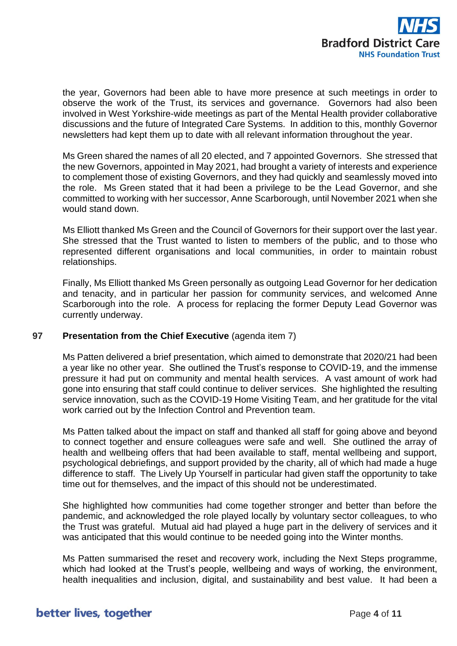

the year, Governors had been able to have more presence at such meetings in order to observe the work of the Trust, its services and governance. Governors had also been involved in West Yorkshire-wide meetings as part of the Mental Health provider collaborative discussions and the future of Integrated Care Systems. In addition to this, monthly Governor newsletters had kept them up to date with all relevant information throughout the year.

Ms Green shared the names of all 20 elected, and 7 appointed Governors. She stressed that the new Governors, appointed in May 2021, had brought a variety of interests and experience to complement those of existing Governors, and they had quickly and seamlessly moved into the role. Ms Green stated that it had been a privilege to be the Lead Governor, and she committed to working with her successor, Anne Scarborough, until November 2021 when she would stand down.

Ms Elliott thanked Ms Green and the Council of Governors for their support over the last year. She stressed that the Trust wanted to listen to members of the public, and to those who represented different organisations and local communities, in order to maintain robust relationships.

Finally, Ms Elliott thanked Ms Green personally as outgoing Lead Governor for her dedication and tenacity, and in particular her passion for community services, and welcomed Anne Scarborough into the role. A process for replacing the former Deputy Lead Governor was currently underway.

# **97 Presentation from the Chief Executive** (agenda item 7)

Ms Patten delivered a brief presentation, which aimed to demonstrate that 2020/21 had been a year like no other year. She outlined the Trust's response to COVID-19, and the immense pressure it had put on community and mental health services. A vast amount of work had gone into ensuring that staff could continue to deliver services. She highlighted the resulting service innovation, such as the COVID-19 Home Visiting Team, and her gratitude for the vital work carried out by the Infection Control and Prevention team.

Ms Patten talked about the impact on staff and thanked all staff for going above and beyond to connect together and ensure colleagues were safe and well. She outlined the array of health and wellbeing offers that had been available to staff, mental wellbeing and support, psychological debriefings, and support provided by the charity, all of which had made a huge difference to staff. The Lively Up Yourself in particular had given staff the opportunity to take time out for themselves, and the impact of this should not be underestimated.

She highlighted how communities had come together stronger and better than before the pandemic, and acknowledged the role played locally by voluntary sector colleagues, to who the Trust was grateful. Mutual aid had played a huge part in the delivery of services and it was anticipated that this would continue to be needed going into the Winter months.

Ms Patten summarised the reset and recovery work, including the Next Steps programme, which had looked at the Trust's people, wellbeing and ways of working, the environment, health inequalities and inclusion, digital, and sustainability and best value. It had been a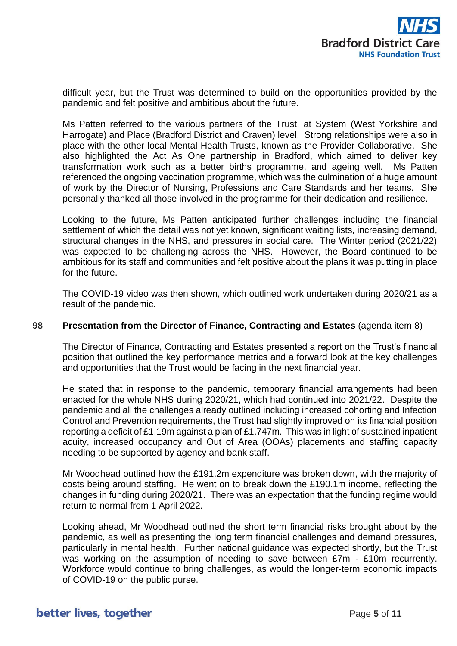

difficult year, but the Trust was determined to build on the opportunities provided by the pandemic and felt positive and ambitious about the future.

Ms Patten referred to the various partners of the Trust, at System (West Yorkshire and Harrogate) and Place (Bradford District and Craven) level. Strong relationships were also in place with the other local Mental Health Trusts, known as the Provider Collaborative. She also highlighted the Act As One partnership in Bradford, which aimed to deliver key transformation work such as a better births programme, and ageing well. Ms Patten referenced the ongoing vaccination programme, which was the culmination of a huge amount of work by the Director of Nursing, Professions and Care Standards and her teams. She personally thanked all those involved in the programme for their dedication and resilience.

Looking to the future, Ms Patten anticipated further challenges including the financial settlement of which the detail was not yet known, significant waiting lists, increasing demand, structural changes in the NHS, and pressures in social care. The Winter period (2021/22) was expected to be challenging across the NHS. However, the Board continued to be ambitious for its staff and communities and felt positive about the plans it was putting in place for the future.

The COVID-19 video was then shown, which outlined work undertaken during 2020/21 as a result of the pandemic.

## **98 Presentation from the Director of Finance, Contracting and Estates** (agenda item 8)

The Director of Finance, Contracting and Estates presented a report on the Trust's financial position that outlined the key performance metrics and a forward look at the key challenges and opportunities that the Trust would be facing in the next financial year.

He stated that in response to the pandemic, temporary financial arrangements had been enacted for the whole NHS during 2020/21, which had continued into 2021/22. Despite the pandemic and all the challenges already outlined including increased cohorting and Infection Control and Prevention requirements, the Trust had slightly improved on its financial position reporting a deficit of £1.19m against a plan of £1.747m. This was in light of sustained inpatient acuity, increased occupancy and Out of Area (OOAs) placements and staffing capacity needing to be supported by agency and bank staff.

Mr Woodhead outlined how the £191.2m expenditure was broken down, with the majority of costs being around staffing. He went on to break down the £190.1m income, reflecting the changes in funding during 2020/21. There was an expectation that the funding regime would return to normal from 1 April 2022.

Looking ahead, Mr Woodhead outlined the short term financial risks brought about by the pandemic, as well as presenting the long term financial challenges and demand pressures, particularly in mental health. Further national guidance was expected shortly, but the Trust was working on the assumption of needing to save between £7m - £10m recurrently. Workforce would continue to bring challenges, as would the longer-term economic impacts of COVID-19 on the public purse.

# better lives, together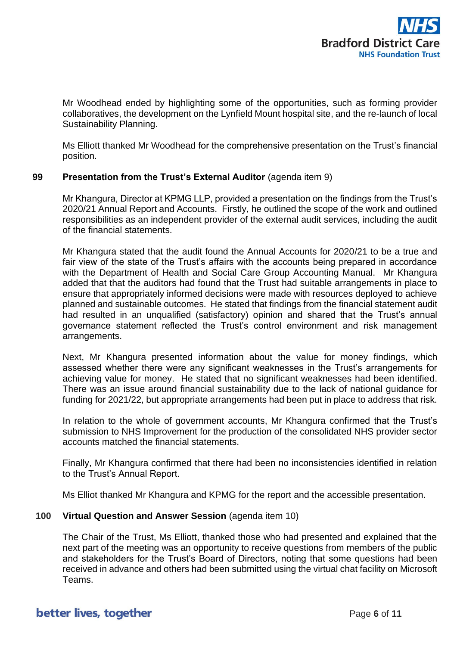

Mr Woodhead ended by highlighting some of the opportunities, such as forming provider collaboratives, the development on the Lynfield Mount hospital site, and the re-launch of local Sustainability Planning.

Ms Elliott thanked Mr Woodhead for the comprehensive presentation on the Trust's financial position.

# **99** Presentation from the Trust's External Auditor (agenda item 9)

Mr Khangura, Director at KPMG LLP, provided a presentation on the findings from the Trust's 2020/21 Annual Report and Accounts. Firstly, he outlined the scope of the work and outlined responsibilities as an independent provider of the external audit services, including the audit of the financial statements.

Mr Khangura stated that the audit found the Annual Accounts for 2020/21 to be a true and fair view of the state of the Trust's affairs with the accounts being prepared in accordance with the Department of Health and Social Care Group Accounting Manual. Mr Khangura added that that the auditors had found that the Trust had suitable arrangements in place to ensure that appropriately informed decisions were made with resources deployed to achieve planned and sustainable outcomes. He stated that findings from the financial statement audit had resulted in an unqualified (satisfactory) opinion and shared that the Trust's annual governance statement reflected the Trust's control environment and risk management arrangements.

Next, Mr Khangura presented information about the value for money findings, which assessed whether there were any significant weaknesses in the Trust's arrangements for achieving value for money. He stated that no significant weaknesses had been identified. There was an issue around financial sustainability due to the lack of national guidance for funding for 2021/22, but appropriate arrangements had been put in place to address that risk.

In relation to the whole of government accounts, Mr Khangura confirmed that the Trust's submission to NHS Improvement for the production of the consolidated NHS provider sector accounts matched the financial statements.

Finally, Mr Khangura confirmed that there had been no inconsistencies identified in relation to the Trust's Annual Report.

Ms Elliot thanked Mr Khangura and KPMG for the report and the accessible presentation.

# **100 Virtual Question and Answer Session** (agenda item 10)

The Chair of the Trust, Ms Elliott, thanked those who had presented and explained that the next part of the meeting was an opportunity to receive questions from members of the public and stakeholders for the Trust's Board of Directors, noting that some questions had been received in advance and others had been submitted using the virtual chat facility on Microsoft Teams.

# better lives, together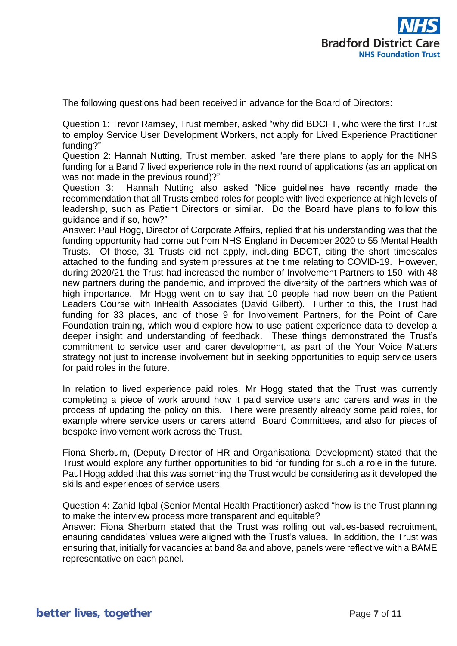

The following questions had been received in advance for the Board of Directors:

Question 1: Trevor Ramsey, Trust member, asked "why did BDCFT, who were the first Trust to employ Service User Development Workers, not apply for Lived Experience Practitioner funding?"

Question 2: Hannah Nutting, Trust member, asked "are there plans to apply for the NHS funding for a Band 7 lived experience role in the next round of applications (as an application was not made in the previous round)?"

Question 3: Hannah Nutting also asked "Nice guidelines have recently made the recommendation that all Trusts embed roles for people with lived experience at high levels of leadership, such as Patient Directors or similar. Do the Board have plans to follow this guidance and if so, how?"

Answer: Paul Hogg, Director of Corporate Affairs, replied that his understanding was that the funding opportunity had come out from NHS England in December 2020 to 55 Mental Health Trusts. Of those, 31 Trusts did not apply, including BDCT, citing the short timescales attached to the funding and system pressures at the time relating to COVID-19. However, during 2020/21 the Trust had increased the number of Involvement Partners to 150, with 48 new partners during the pandemic, and improved the diversity of the partners which was of high importance. Mr Hogg went on to say that 10 people had now been on the Patient Leaders Course with InHealth Associates (David Gilbert). Further to this, the Trust had funding for 33 places, and of those 9 for Involvement Partners, for the Point of Care Foundation training, which would explore how to use patient experience data to develop a deeper insight and understanding of feedback. These things demonstrated the Trust's commitment to service user and carer development, as part of the Your Voice Matters strategy not just to increase involvement but in seeking opportunities to equip service users for paid roles in the future.

In relation to lived experience paid roles, Mr Hogg stated that the Trust was currently completing a piece of work around how it paid service users and carers and was in the process of updating the policy on this. There were presently already some paid roles, for example where service users or carers attend Board Committees, and also for pieces of bespoke involvement work across the Trust.

Fiona Sherburn, (Deputy Director of HR and Organisational Development) stated that the Trust would explore any further opportunities to bid for funding for such a role in the future. Paul Hogg added that this was something the Trust would be considering as it developed the skills and experiences of service users.

Question 4: Zahid Iqbal (Senior Mental Health Practitioner) asked "how is the Trust planning to make the interview process more transparent and equitable?

Answer: Fiona Sherburn stated that the Trust was rolling out values-based recruitment, ensuring candidates' values were aligned with the Trust's values. In addition, the Trust was ensuring that, initially for vacancies at band 8a and above, panels were reflective with a BAME representative on each panel.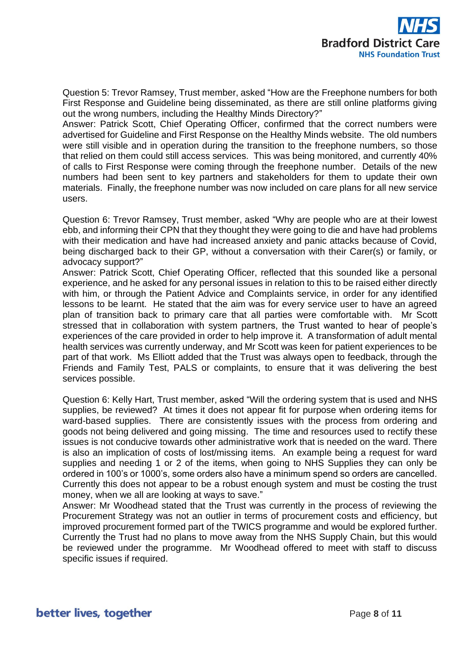

Question 5: Trevor Ramsey, Trust member, asked "How are the Freephone numbers for both First Response and Guideline being disseminated, as there are still online platforms giving out the wrong numbers, including the Healthy Minds Directory?"

Answer: Patrick Scott, Chief Operating Officer, confirmed that the correct numbers were advertised for Guideline and First Response on the Healthy Minds website. The old numbers were still visible and in operation during the transition to the freephone numbers, so those that relied on them could still access services. This was being monitored, and currently 40% of calls to First Response were coming through the freephone number. Details of the new numbers had been sent to key partners and stakeholders for them to update their own materials. Finally, the freephone number was now included on care plans for all new service users.

Question 6: Trevor Ramsey, Trust member, asked "Why are people who are at their lowest ebb, and informing their CPN that they thought they were going to die and have had problems with their medication and have had increased anxiety and panic attacks because of Covid, being discharged back to their GP, without a conversation with their Carer(s) or family, or advocacy support?"

Answer: Patrick Scott, Chief Operating Officer, reflected that this sounded like a personal experience, and he asked for any personal issues in relation to this to be raised either directly with him, or through the Patient Advice and Complaints service, in order for any identified lessons to be learnt. He stated that the aim was for every service user to have an agreed plan of transition back to primary care that all parties were comfortable with. Mr Scott stressed that in collaboration with system partners, the Trust wanted to hear of people's experiences of the care provided in order to help improve it. A transformation of adult mental health services was currently underway, and Mr Scott was keen for patient experiences to be part of that work. Ms Elliott added that the Trust was always open to feedback, through the Friends and Family Test, PALS or complaints, to ensure that it was delivering the best services possible.

Question 6: Kelly Hart, Trust member, asked "Will the ordering system that is used and NHS supplies, be reviewed? At times it does not appear fit for purpose when ordering items for ward-based supplies. There are consistently issues with the process from ordering and goods not being delivered and going missing. The time and resources used to rectify these issues is not conducive towards other administrative work that is needed on the ward. There is also an implication of costs of lost/missing items. An example being a request for ward supplies and needing 1 or 2 of the items, when going to NHS Supplies they can only be ordered in 100's or 1000's, some orders also have a minimum spend so orders are cancelled. Currently this does not appear to be a robust enough system and must be costing the trust money, when we all are looking at ways to save."

Answer: Mr Woodhead stated that the Trust was currently in the process of reviewing the Procurement Strategy was not an outlier in terms of procurement costs and efficiency, but improved procurement formed part of the TWICS programme and would be explored further. Currently the Trust had no plans to move away from the NHS Supply Chain, but this would be reviewed under the programme. Mr Woodhead offered to meet with staff to discuss specific issues if required.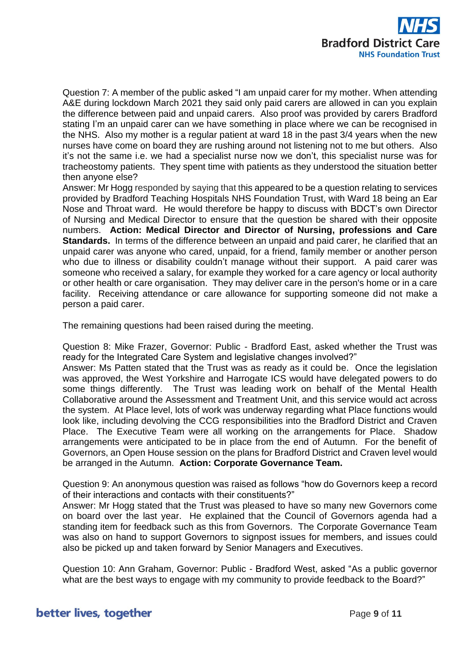

Question 7: A member of the public asked "I am unpaid carer for my mother. When attending A&E during lockdown March 2021 they said only paid carers are allowed in can you explain the difference between paid and unpaid carers. Also proof was provided by carers Bradford stating I'm an unpaid carer can we have something in place where we can be recognised in the NHS. Also my mother is a regular patient at ward 18 in the past 3/4 years when the new nurses have come on board they are rushing around not listening not to me but others. Also it's not the same i.e. we had a specialist nurse now we don't, this specialist nurse was for tracheostomy patients. They spent time with patients as they understood the situation better then anyone else?

Answer: Mr Hogg responded by saying that this appeared to be a question relating to services provided by Bradford Teaching Hospitals NHS Foundation Trust, with Ward 18 being an Ear Nose and Throat ward. He would therefore be happy to discuss with BDCT's own Director of Nursing and Medical Director to ensure that the question be shared with their opposite numbers. **Action: Medical Director and Director of Nursing, professions and Care Standards.** In terms of the difference between an unpaid and paid carer, he clarified that an unpaid carer was anyone who cared, unpaid, for a friend, family member or another person who due to illness or disability couldn't manage without their support. A paid carer was someone who received a salary, for example they worked for a care agency or local authority or other health or care organisation. They may deliver care in the person's home or in a care facility. Receiving attendance or care allowance for supporting someone did not make a person a paid carer.

The remaining questions had been raised during the meeting.

Question 8: Mike Frazer, Governor: Public - Bradford East, asked whether the Trust was ready for the Integrated Care System and legislative changes involved?"

Answer: Ms Patten stated that the Trust was as ready as it could be. Once the legislation was approved, the West Yorkshire and Harrogate ICS would have delegated powers to do some things differently. The Trust was leading work on behalf of the Mental Health Collaborative around the Assessment and Treatment Unit, and this service would act across the system. At Place level, lots of work was underway regarding what Place functions would look like, including devolving the CCG responsibilities into the Bradford District and Craven Place. The Executive Team were all working on the arrangements for Place. Shadow arrangements were anticipated to be in place from the end of Autumn. For the benefit of Governors, an Open House session on the plans for Bradford District and Craven level would be arranged in the Autumn. **Action: Corporate Governance Team.**

Question 9: An anonymous question was raised as follows "how do Governors keep a record of their interactions and contacts with their constituents?"

Answer: Mr Hogg stated that the Trust was pleased to have so many new Governors come on board over the last year. He explained that the Council of Governors agenda had a standing item for feedback such as this from Governors. The Corporate Governance Team was also on hand to support Governors to signpost issues for members, and issues could also be picked up and taken forward by Senior Managers and Executives.

Question 10: Ann Graham, Governor: Public - Bradford West, asked "As a public governor what are the best ways to engage with my community to provide feedback to the Board?"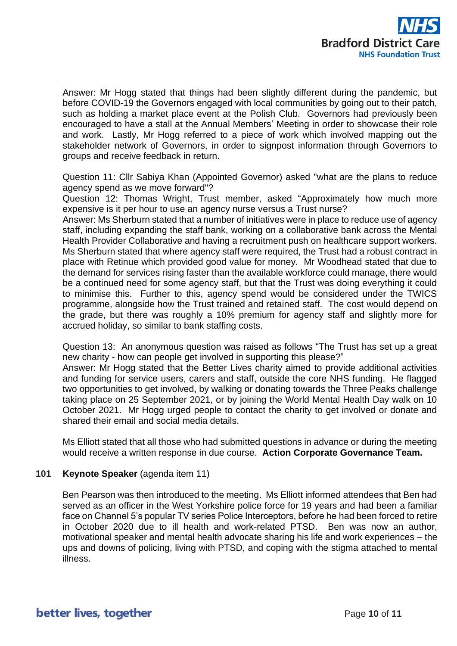

Answer: Mr Hogg stated that things had been slightly different during the pandemic, but before COVID-19 the Governors engaged with local communities by going out to their patch, such as holding a market place event at the Polish Club. Governors had previously been encouraged to have a stall at the Annual Members' Meeting in order to showcase their role and work. Lastly, Mr Hogg referred to a piece of work which involved mapping out the stakeholder network of Governors, in order to signpost information through Governors to groups and receive feedback in return.

Question 11: Cllr Sabiya Khan (Appointed Governor) asked "what are the plans to reduce agency spend as we move forward"?

Question 12: Thomas Wright, Trust member, asked "Approximately how much more expensive is it per hour to use an agency nurse versus a Trust nurse?

Answer: Ms Sherburn stated that a number of initiatives were in place to reduce use of agency staff, including expanding the staff bank, working on a collaborative bank across the Mental Health Provider Collaborative and having a recruitment push on healthcare support workers. Ms Sherburn stated that where agency staff were required, the Trust had a robust contract in place with Retinue which provided good value for money. Mr Woodhead stated that due to the demand for services rising faster than the available workforce could manage, there would be a continued need for some agency staff, but that the Trust was doing everything it could to minimise this. Further to this, agency spend would be considered under the TWICS programme, alongside how the Trust trained and retained staff. The cost would depend on the grade, but there was roughly a 10% premium for agency staff and slightly more for accrued holiday, so similar to bank staffing costs.

Question 13: An anonymous question was raised as follows "The Trust has set up a great new charity - how can people get involved in supporting this please?"

Answer: Mr Hogg stated that the Better Lives charity aimed to provide additional activities and funding for service users, carers and staff, outside the core NHS funding. He flagged two opportunities to get involved, by walking or donating towards the Three Peaks challenge taking place on 25 September 2021, or by joining the World Mental Health Day walk on 10 October 2021. Mr Hogg urged people to contact the charity to get involved or donate and shared their email and social media details.

Ms Elliott stated that all those who had submitted questions in advance or during the meeting would receive a written response in due course. **Action Corporate Governance Team.**

# **101 Keynote Speaker** (agenda item 11)

Ben Pearson was then introduced to the meeting. Ms Elliott informed attendees that Ben had served as an officer in the West Yorkshire police force for 19 years and had been a familiar face on Channel 5's popular TV series Police Interceptors, before he had been forced to retire in October 2020 due to ill health and work-related PTSD. Ben was now an author, motivational speaker and mental health advocate sharing his life and work experiences – the ups and downs of policing, living with PTSD, and coping with the stigma attached to mental illness.